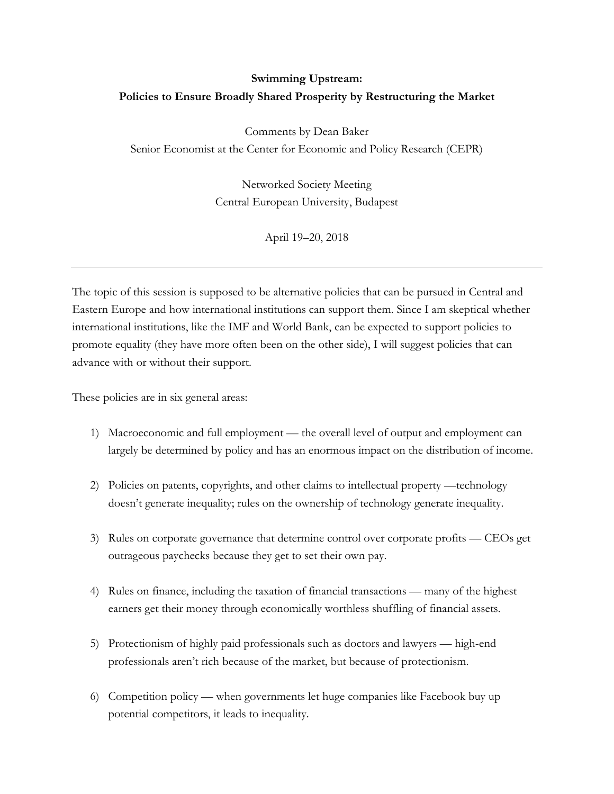# **Swimming Upstream: Policies to Ensure Broadly Shared Prosperity by Restructuring the Market**

Comments by Dean Baker Senior Economist at the Center for Economic and Policy Research (CEPR)

> Networked Society Meeting Central European University, Budapest

> > April 19–20, 2018

The topic of this session is supposed to be alternative policies that can be pursued in Central and Eastern Europe and how international institutions can support them. Since I am skeptical whether international institutions, like the IMF and World Bank, can be expected to support policies to promote equality (they have more often been on the other side), I will suggest policies that can advance with or without their support.

These policies are in six general areas:

- 1) Macroeconomic and full employment the overall level of output and employment can largely be determined by policy and has an enormous impact on the distribution of income.
- 2) Policies on patents, copyrights, and other claims to intellectual property —technology doesn't generate inequality; rules on the ownership of technology generate inequality.
- 3) Rules on corporate governance that determine control over corporate profits CEOs get outrageous paychecks because they get to set their own pay.
- 4) Rules on finance, including the taxation of financial transactions many of the highest earners get their money through economically worthless shuffling of financial assets.
- 5) Protectionism of highly paid professionals such as doctors and lawyers high-end professionals aren't rich because of the market, but because of protectionism.
- 6) Competition policy when governments let huge companies like Facebook buy up potential competitors, it leads to inequality.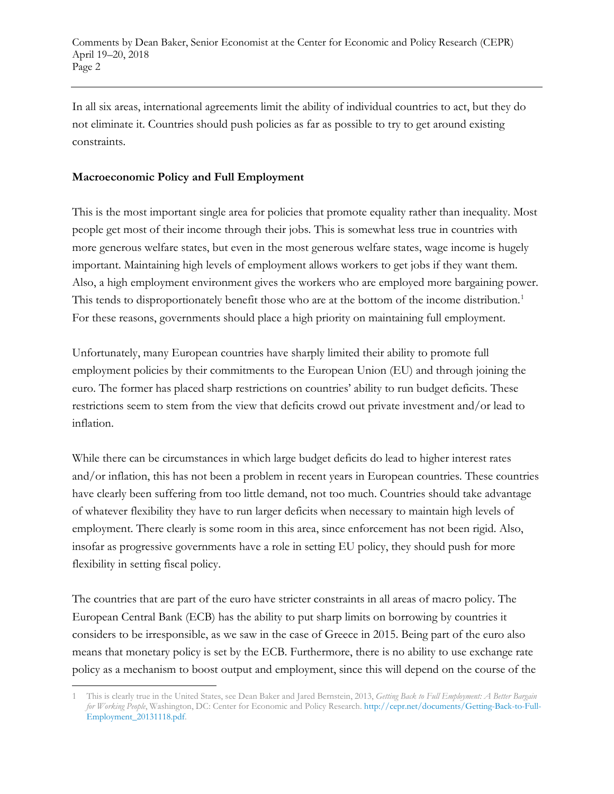In all six areas, international agreements limit the ability of individual countries to act, but they do not eliminate it. Countries should push policies as far as possible to try to get around existing constraints.

## **Macroeconomic Policy and Full Employment**

This is the most important single area for policies that promote equality rather than inequality. Most people get most of their income through their jobs. This is somewhat less true in countries with more generous welfare states, but even in the most generous welfare states, wage income is hugely important. Maintaining high levels of employment allows workers to get jobs if they want them. Also, a high employment environment gives the workers who are employed more bargaining power. This tends to disproportionately benefit those who are at the bottom of the income distribution.<sup>[1](#page-1-0)</sup> For these reasons, governments should place a high priority on maintaining full employment.

Unfortunately, many European countries have sharply limited their ability to promote full employment policies by their commitments to the European Union (EU) and through joining the euro. The former has placed sharp restrictions on countries' ability to run budget deficits. These restrictions seem to stem from the view that deficits crowd out private investment and/or lead to inflation.

While there can be circumstances in which large budget deficits do lead to higher interest rates and/or inflation, this has not been a problem in recent years in European countries. These countries have clearly been suffering from too little demand, not too much. Countries should take advantage of whatever flexibility they have to run larger deficits when necessary to maintain high levels of employment. There clearly is some room in this area, since enforcement has not been rigid. Also, insofar as progressive governments have a role in setting EU policy, they should push for more flexibility in setting fiscal policy.

The countries that are part of the euro have stricter constraints in all areas of macro policy. The European Central Bank (ECB) has the ability to put sharp limits on borrowing by countries it considers to be irresponsible, as we saw in the case of Greece in 2015. Being part of the euro also means that monetary policy is set by the ECB. Furthermore, there is no ability to use exchange rate policy as a mechanism to boost output and employment, since this will depend on the course of the

<span id="page-1-0"></span><sup>1</sup> This is clearly true in the United States, see Dean Baker and Jared Bernstein, 2013, *Getting Back to Full Employment: A Better Bargain for Working People*, Washington, DC: Center for Economic and Policy Research[. http://cepr.net/documents/Getting-Back-to-Full-](http://cepr.net/documents/Getting-Back-to-Full-Employment_20131118.pdf)[Employment\\_20131118.pdf.](http://cepr.net/documents/Getting-Back-to-Full-Employment_20131118.pdf)   $\overline{\phantom{a}}$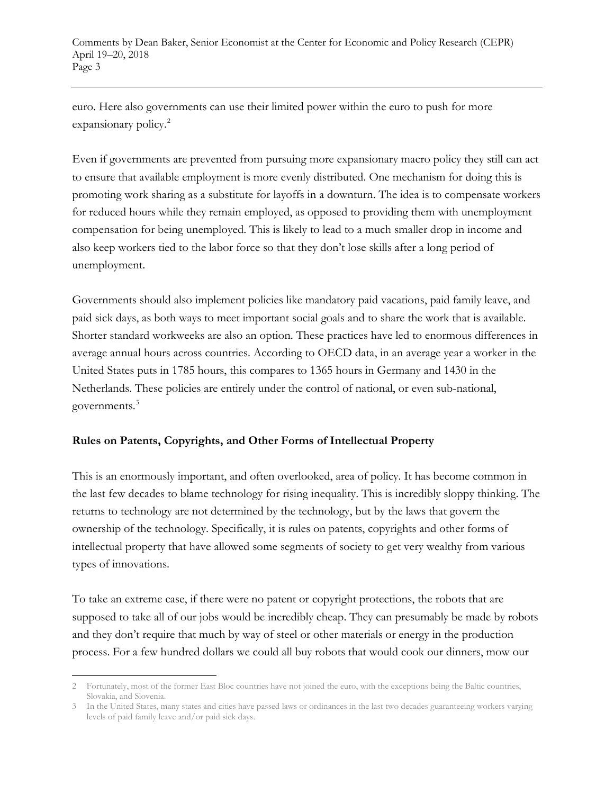euro. Here also governments can use their limited power within the euro to push for more expansionary policy.<sup>[2](#page-2-0)</sup>

Even if governments are prevented from pursuing more expansionary macro policy they still can act to ensure that available employment is more evenly distributed. One mechanism for doing this is promoting work sharing as a substitute for layoffs in a downturn. The idea is to compensate workers for reduced hours while they remain employed, as opposed to providing them with unemployment compensation for being unemployed. This is likely to lead to a much smaller drop in income and also keep workers tied to the labor force so that they don't lose skills after a long period of unemployment.

Governments should also implement policies like mandatory paid vacations, paid family leave, and paid sick days, as both ways to meet important social goals and to share the work that is available. Shorter standard workweeks are also an option. These practices have led to enormous differences in average annual hours across countries. According to OECD data, in an average year a worker in the United States puts in 1785 hours, this compares to 1365 hours in Germany and 1430 in the Netherlands. These policies are entirely under the control of national, or even sub-national, governments.<sup>[3](#page-2-1)</sup>

# **Rules on Patents, Copyrights, and Other Forms of Intellectual Property**

This is an enormously important, and often overlooked, area of policy. It has become common in the last few decades to blame technology for rising inequality. This is incredibly sloppy thinking. The returns to technology are not determined by the technology, but by the laws that govern the ownership of the technology. Specifically, it is rules on patents, copyrights and other forms of intellectual property that have allowed some segments of society to get very wealthy from various types of innovations.

To take an extreme case, if there were no patent or copyright protections, the robots that are supposed to take all of our jobs would be incredibly cheap. They can presumably be made by robots and they don't require that much by way of steel or other materials or energy in the production process. For a few hundred dollars we could all buy robots that would cook our dinners, mow our

<span id="page-2-0"></span><sup>2</sup> Fortunately, most of the former East Bloc countries have not joined the euro, with the exceptions being the Baltic countries, Slovakia, and Slovenia.  $\overline{\phantom{a}}$ 

<span id="page-2-1"></span><sup>3</sup> In the United States, many states and cities have passed laws or ordinances in the last two decades guaranteeing workers varying levels of paid family leave and/or paid sick days.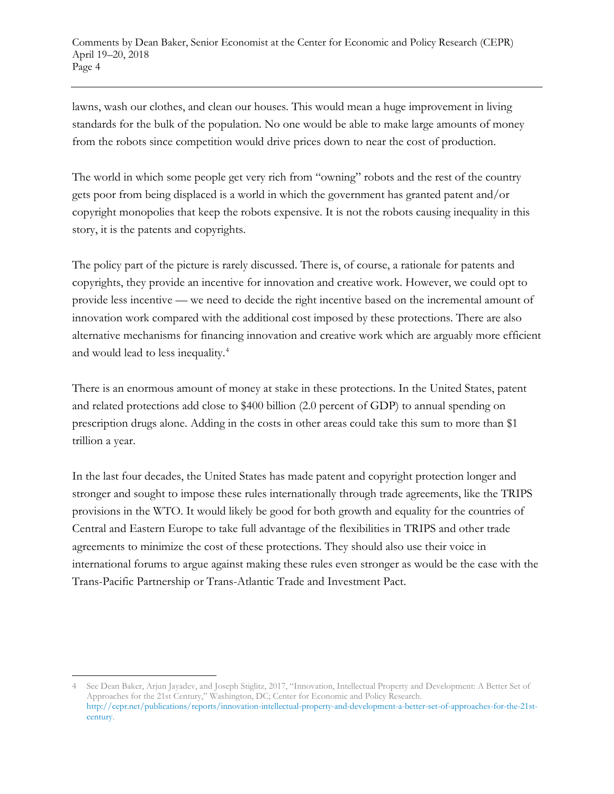lawns, wash our clothes, and clean our houses. This would mean a huge improvement in living standards for the bulk of the population. No one would be able to make large amounts of money from the robots since competition would drive prices down to near the cost of production.

The world in which some people get very rich from "owning" robots and the rest of the country gets poor from being displaced is a world in which the government has granted patent and/or copyright monopolies that keep the robots expensive. It is not the robots causing inequality in this story, it is the patents and copyrights.

The policy part of the picture is rarely discussed. There is, of course, a rationale for patents and copyrights, they provide an incentive for innovation and creative work. However, we could opt to provide less incentive — we need to decide the right incentive based on the incremental amount of innovation work compared with the additional cost imposed by these protections. There are also alternative mechanisms for financing innovation and creative work which are arguably more efficient and would lead to less inequality.[4](#page-3-0)

There is an enormous amount of money at stake in these protections. In the United States, patent and related protections add close to \$400 billion (2.0 percent of GDP) to annual spending on prescription drugs alone. Adding in the costs in other areas could take this sum to more than \$1 trillion a year.

In the last four decades, the United States has made patent and copyright protection longer and stronger and sought to impose these rules internationally through trade agreements, like the TRIPS provisions in the WTO. It would likely be good for both growth and equality for the countries of Central and Eastern Europe to take full advantage of the flexibilities in TRIPS and other trade agreements to minimize the cost of these protections. They should also use their voice in international forums to argue against making these rules even stronger as would be the case with the Trans-Pacific Partnership or Trans-Atlantic Trade and Investment Pact.

<span id="page-3-0"></span><sup>4</sup> See Dean Baker, Arjun Jayadev, and Joseph Stiglitz, 2017, "Innovation, Intellectual Property and Development: A Better Set of Approaches for the 21st Century," Washington, DC; Center for Economic and Policy Research. [http://cepr.net/publications/reports/innovation-intellectual-property-and-development-a-better-set-of-approaches-for-the-21st](http://cepr.net/publications/reports/innovation-intellectual-property-and-development-a-better-set-of-approaches-for-the-21st-century)[century.](http://cepr.net/publications/reports/innovation-intellectual-property-and-development-a-better-set-of-approaches-for-the-21st-century)   $\overline{\phantom{a}}$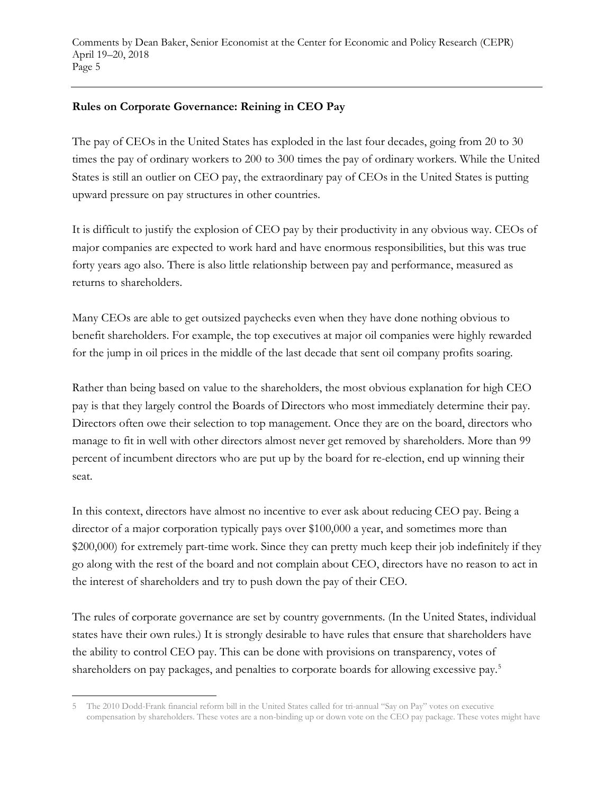#### **Rules on Corporate Governance: Reining in CEO Pay**

The pay of CEOs in the United States has exploded in the last four decades, going from 20 to 30 times the pay of ordinary workers to 200 to 300 times the pay of ordinary workers. While the United States is still an outlier on CEO pay, the extraordinary pay of CEOs in the United States is putting upward pressure on pay structures in other countries.

It is difficult to justify the explosion of CEO pay by their productivity in any obvious way. CEOs of major companies are expected to work hard and have enormous responsibilities, but this was true forty years ago also. There is also little relationship between pay and performance, measured as returns to shareholders.

Many CEOs are able to get outsized paychecks even when they have done nothing obvious to benefit shareholders. For example, the top executives at major oil companies were highly rewarded for the jump in oil prices in the middle of the last decade that sent oil company profits soaring.

Rather than being based on value to the shareholders, the most obvious explanation for high CEO pay is that they largely control the Boards of Directors who most immediately determine their pay. Directors often owe their selection to top management. Once they are on the board, directors who manage to fit in well with other directors almost never get removed by shareholders. More than 99 percent of incumbent directors who are put up by the board for re-election, end up winning their seat.

In this context, directors have almost no incentive to ever ask about reducing CEO pay. Being a director of a major corporation typically pays over \$100,000 a year, and sometimes more than \$200,000) for extremely part-time work. Since they can pretty much keep their job indefinitely if they go along with the rest of the board and not complain about CEO, directors have no reason to act in the interest of shareholders and try to push down the pay of their CEO.

The rules of corporate governance are set by country governments. (In the United States, individual states have their own rules.) It is strongly desirable to have rules that ensure that shareholders have the ability to control CEO pay. This can be done with provisions on transparency, votes of shareholders on pay packages, and penalties to corporate boards for allowing excessive pay.<sup>[5](#page-4-0)</sup>

 $\overline{\phantom{a}}$ 

<span id="page-4-0"></span><sup>5</sup> The 2010 Dodd-Frank financial reform bill in the United States called for tri-annual "Say on Pay" votes on executive compensation by shareholders. These votes are a non-binding up or down vote on the CEO pay package. These votes might have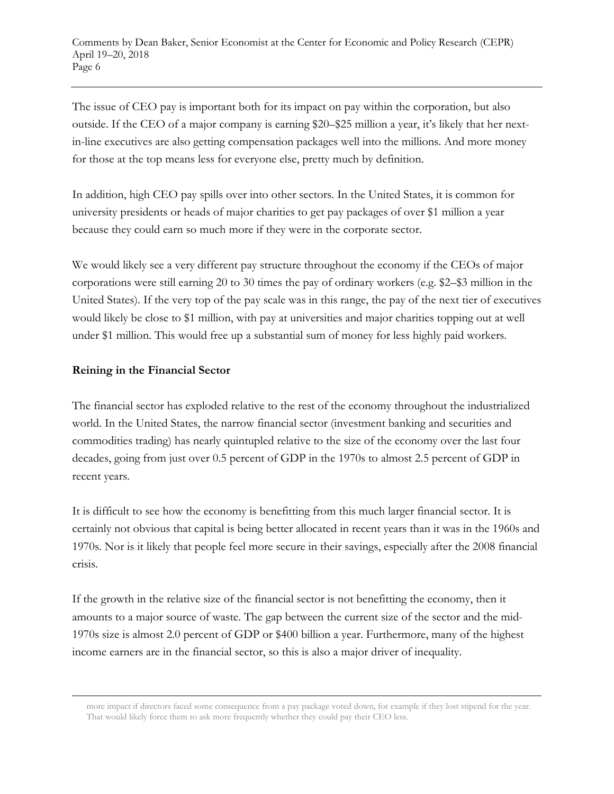The issue of CEO pay is important both for its impact on pay within the corporation, but also outside. If the CEO of a major company is earning \$20–\$25 million a year, it's likely that her nextin-line executives are also getting compensation packages well into the millions. And more money for those at the top means less for everyone else, pretty much by definition.

In addition, high CEO pay spills over into other sectors. In the United States, it is common for university presidents or heads of major charities to get pay packages of over \$1 million a year because they could earn so much more if they were in the corporate sector.

We would likely see a very different pay structure throughout the economy if the CEOs of major corporations were still earning 20 to 30 times the pay of ordinary workers (e.g. \$2–\$3 million in the United States). If the very top of the pay scale was in this range, the pay of the next tier of executives would likely be close to \$1 million, with pay at universities and major charities topping out at well under \$1 million. This would free up a substantial sum of money for less highly paid workers.

### **Reining in the Financial Sector**

 $\overline{\phantom{a}}$ 

The financial sector has exploded relative to the rest of the economy throughout the industrialized world. In the United States, the narrow financial sector (investment banking and securities and commodities trading) has nearly quintupled relative to the size of the economy over the last four decades, going from just over 0.5 percent of GDP in the 1970s to almost 2.5 percent of GDP in recent years.

It is difficult to see how the economy is benefitting from this much larger financial sector. It is certainly not obvious that capital is being better allocated in recent years than it was in the 1960s and 1970s. Nor is it likely that people feel more secure in their savings, especially after the 2008 financial crisis.

If the growth in the relative size of the financial sector is not benefitting the economy, then it amounts to a major source of waste. The gap between the current size of the sector and the mid-1970s size is almost 2.0 percent of GDP or \$400 billion a year. Furthermore, many of the highest income earners are in the financial sector, so this is also a major driver of inequality.

more impact if directors faced some consequence from a pay package voted down, for example if they lost stipend for the year. That would likely force them to ask more frequently whether they could pay their CEO less.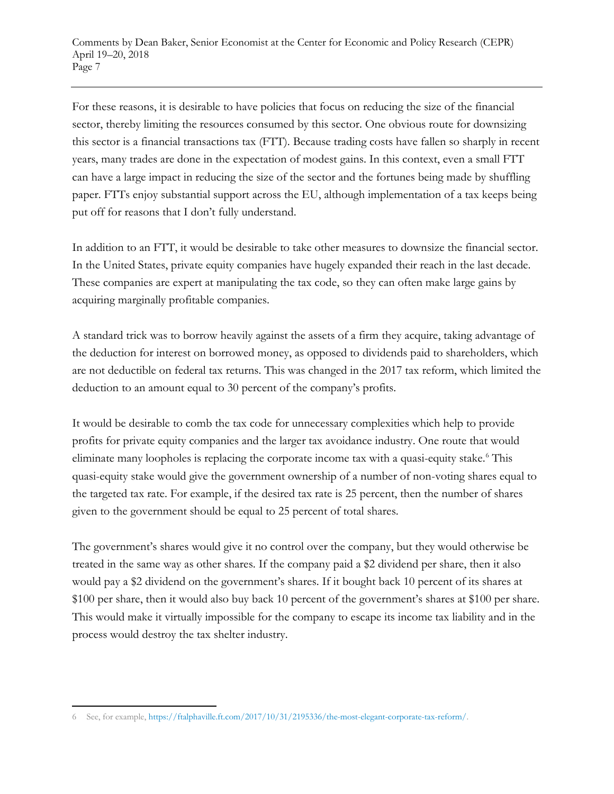For these reasons, it is desirable to have policies that focus on reducing the size of the financial sector, thereby limiting the resources consumed by this sector. One obvious route for downsizing this sector is a financial transactions tax (FTT). Because trading costs have fallen so sharply in recent years, many trades are done in the expectation of modest gains. In this context, even a small FTT can have a large impact in reducing the size of the sector and the fortunes being made by shuffling paper. FTTs enjoy substantial support across the EU, although implementation of a tax keeps being put off for reasons that I don't fully understand.

In addition to an FTT, it would be desirable to take other measures to downsize the financial sector. In the United States, private equity companies have hugely expanded their reach in the last decade. These companies are expert at manipulating the tax code, so they can often make large gains by acquiring marginally profitable companies.

A standard trick was to borrow heavily against the assets of a firm they acquire, taking advantage of the deduction for interest on borrowed money, as opposed to dividends paid to shareholders, which are not deductible on federal tax returns. This was changed in the 2017 tax reform, which limited the deduction to an amount equal to 30 percent of the company's profits.

It would be desirable to comb the tax code for unnecessary complexities which help to provide profits for private equity companies and the larger tax avoidance industry. One route that would eliminate many loopholes is replacing the corporate income tax with a quasi-equity stake. [6](#page-6-0) This quasi-equity stake would give the government ownership of a number of non-voting shares equal to the targeted tax rate. For example, if the desired tax rate is 25 percent, then the number of shares given to the government should be equal to 25 percent of total shares.

The government's shares would give it no control over the company, but they would otherwise be treated in the same way as other shares. If the company paid a \$2 dividend per share, then it also would pay a \$2 dividend on the government's shares. If it bought back 10 percent of its shares at \$100 per share, then it would also buy back 10 percent of the government's shares at \$100 per share. This would make it virtually impossible for the company to escape its income tax liability and in the process would destroy the tax shelter industry.

<span id="page-6-0"></span><sup>6</sup> See, for example, [https://ftalphaville.ft.com/2017/10/31/2195336/the-most-elegant-corporate-tax-reform/.](https://ftalphaville.ft.com/2017/10/31/2195336/the-most-elegant-corporate-tax-reform/)  $\overline{\phantom{a}}$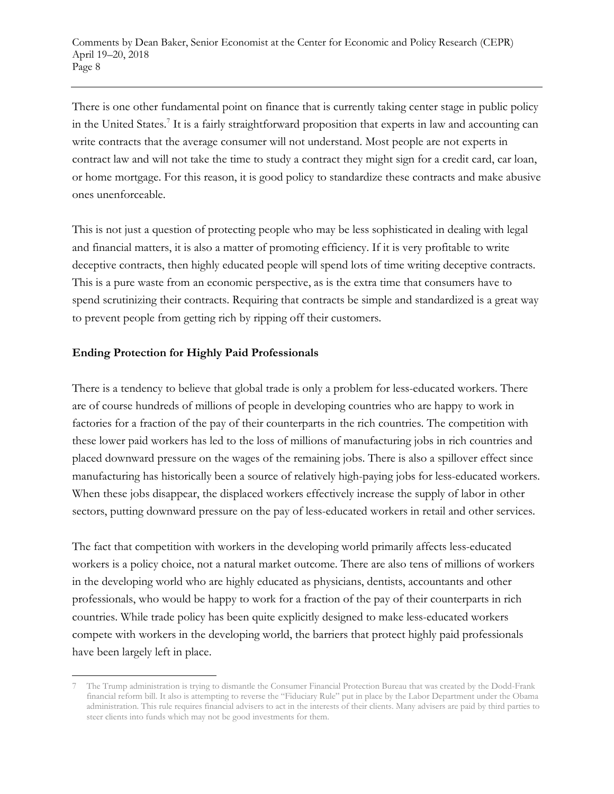There is one other fundamental point on finance that is currently taking center stage in public policy in the United States[.7](#page-7-0) It is a fairly straightforward proposition that experts in law and accounting can write contracts that the average consumer will not understand. Most people are not experts in contract law and will not take the time to study a contract they might sign for a credit card, car loan, or home mortgage. For this reason, it is good policy to standardize these contracts and make abusive ones unenforceable.

This is not just a question of protecting people who may be less sophisticated in dealing with legal and financial matters, it is also a matter of promoting efficiency. If it is very profitable to write deceptive contracts, then highly educated people will spend lots of time writing deceptive contracts. This is a pure waste from an economic perspective, as is the extra time that consumers have to spend scrutinizing their contracts. Requiring that contracts be simple and standardized is a great way to prevent people from getting rich by ripping off their customers.

# **Ending Protection for Highly Paid Professionals**

There is a tendency to believe that global trade is only a problem for less-educated workers. There are of course hundreds of millions of people in developing countries who are happy to work in factories for a fraction of the pay of their counterparts in the rich countries. The competition with these lower paid workers has led to the loss of millions of manufacturing jobs in rich countries and placed downward pressure on the wages of the remaining jobs. There is also a spillover effect since manufacturing has historically been a source of relatively high-paying jobs for less-educated workers. When these jobs disappear, the displaced workers effectively increase the supply of labor in other sectors, putting downward pressure on the pay of less-educated workers in retail and other services.

The fact that competition with workers in the developing world primarily affects less-educated workers is a policy choice, not a natural market outcome. There are also tens of millions of workers in the developing world who are highly educated as physicians, dentists, accountants and other professionals, who would be happy to work for a fraction of the pay of their counterparts in rich countries. While trade policy has been quite explicitly designed to make less-educated workers compete with workers in the developing world, the barriers that protect highly paid professionals have been largely left in place.

<span id="page-7-0"></span><sup>7</sup> The Trump administration is trying to dismantle the Consumer Financial Protection Bureau that was created by the Dodd-Frank financial reform bill. It also is attempting to reverse the "Fiduciary Rule" put in place by the Labor Department under the Obama administration. This rule requires financial advisers to act in the interests of their clients. Many advisers are paid by third parties to steer clients into funds which may not be good investments for them.  $\overline{\phantom{a}}$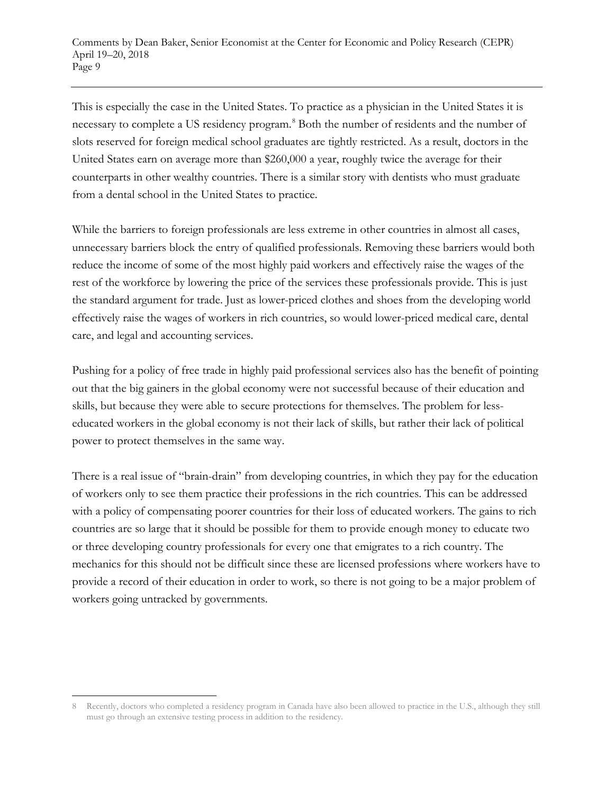This is especially the case in the United States. To practice as a physician in the United States it is necessary to complete a US residency program.<sup>[8](#page-8-0)</sup> Both the number of residents and the number of slots reserved for foreign medical school graduates are tightly restricted. As a result, doctors in the United States earn on average more than \$260,000 a year, roughly twice the average for their counterparts in other wealthy countries. There is a similar story with dentists who must graduate from a dental school in the United States to practice.

While the barriers to foreign professionals are less extreme in other countries in almost all cases, unnecessary barriers block the entry of qualified professionals. Removing these barriers would both reduce the income of some of the most highly paid workers and effectively raise the wages of the rest of the workforce by lowering the price of the services these professionals provide. This is just the standard argument for trade. Just as lower-priced clothes and shoes from the developing world effectively raise the wages of workers in rich countries, so would lower-priced medical care, dental care, and legal and accounting services.

Pushing for a policy of free trade in highly paid professional services also has the benefit of pointing out that the big gainers in the global economy were not successful because of their education and skills, but because they were able to secure protections for themselves. The problem for lesseducated workers in the global economy is not their lack of skills, but rather their lack of political power to protect themselves in the same way.

There is a real issue of "brain-drain" from developing countries, in which they pay for the education of workers only to see them practice their professions in the rich countries. This can be addressed with a policy of compensating poorer countries for their loss of educated workers. The gains to rich countries are so large that it should be possible for them to provide enough money to educate two or three developing country professionals for every one that emigrates to a rich country. The mechanics for this should not be difficult since these are licensed professions where workers have to provide a record of their education in order to work, so there is not going to be a major problem of workers going untracked by governments.

 $\overline{\phantom{a}}$ 

<span id="page-8-0"></span><sup>8</sup> Recently, doctors who completed a residency program in Canada have also been allowed to practice in the U.S., although they still must go through an extensive testing process in addition to the residency.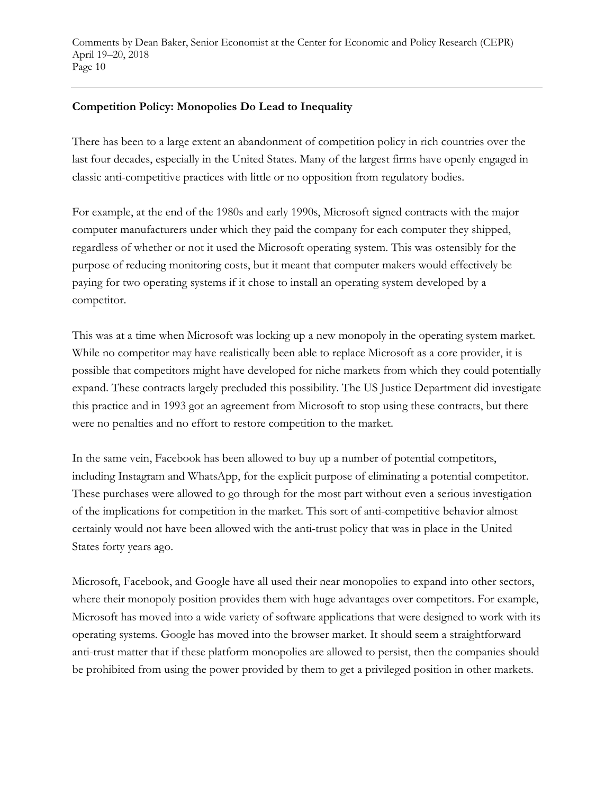#### **Competition Policy: Monopolies Do Lead to Inequality**

There has been to a large extent an abandonment of competition policy in rich countries over the last four decades, especially in the United States. Many of the largest firms have openly engaged in classic anti-competitive practices with little or no opposition from regulatory bodies.

For example, at the end of the 1980s and early 1990s, Microsoft signed contracts with the major computer manufacturers under which they paid the company for each computer they shipped, regardless of whether or not it used the Microsoft operating system. This was ostensibly for the purpose of reducing monitoring costs, but it meant that computer makers would effectively be paying for two operating systems if it chose to install an operating system developed by a competitor.

This was at a time when Microsoft was locking up a new monopoly in the operating system market. While no competitor may have realistically been able to replace Microsoft as a core provider, it is possible that competitors might have developed for niche markets from which they could potentially expand. These contracts largely precluded this possibility. The US Justice Department did investigate this practice and in 1993 got an agreement from Microsoft to stop using these contracts, but there were no penalties and no effort to restore competition to the market.

In the same vein, Facebook has been allowed to buy up a number of potential competitors, including Instagram and WhatsApp, for the explicit purpose of eliminating a potential competitor. These purchases were allowed to go through for the most part without even a serious investigation of the implications for competition in the market. This sort of anti-competitive behavior almost certainly would not have been allowed with the anti-trust policy that was in place in the United States forty years ago.

Microsoft, Facebook, and Google have all used their near monopolies to expand into other sectors, where their monopoly position provides them with huge advantages over competitors. For example, Microsoft has moved into a wide variety of software applications that were designed to work with its operating systems. Google has moved into the browser market. It should seem a straightforward anti-trust matter that if these platform monopolies are allowed to persist, then the companies should be prohibited from using the power provided by them to get a privileged position in other markets.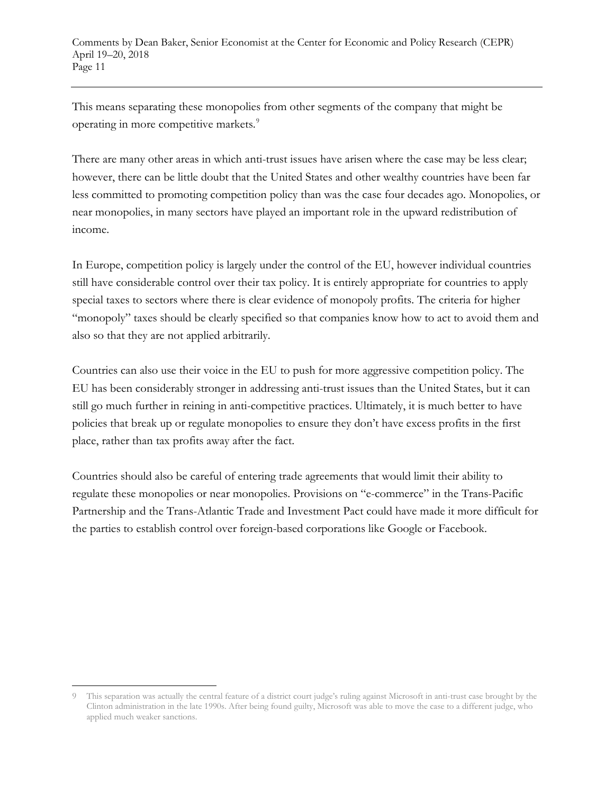This means separating these monopolies from other segments of the company that might be operating in more competitive markets.<sup>[9](#page-10-0)</sup>

There are many other areas in which anti-trust issues have arisen where the case may be less clear; however, there can be little doubt that the United States and other wealthy countries have been far less committed to promoting competition policy than was the case four decades ago. Monopolies, or near monopolies, in many sectors have played an important role in the upward redistribution of income.

In Europe, competition policy is largely under the control of the EU, however individual countries still have considerable control over their tax policy. It is entirely appropriate for countries to apply special taxes to sectors where there is clear evidence of monopoly profits. The criteria for higher "monopoly" taxes should be clearly specified so that companies know how to act to avoid them and also so that they are not applied arbitrarily.

Countries can also use their voice in the EU to push for more aggressive competition policy. The EU has been considerably stronger in addressing anti-trust issues than the United States, but it can still go much further in reining in anti-competitive practices. Ultimately, it is much better to have policies that break up or regulate monopolies to ensure they don't have excess profits in the first place, rather than tax profits away after the fact.

Countries should also be careful of entering trade agreements that would limit their ability to regulate these monopolies or near monopolies. Provisions on "e-commerce" in the Trans-Pacific Partnership and the Trans-Atlantic Trade and Investment Pact could have made it more difficult for the parties to establish control over foreign-based corporations like Google or Facebook.

<span id="page-10-0"></span>This separation was actually the central feature of a district court judge's ruling against Microsoft in anti-trust case brought by the Clinton administration in the late 1990s. After being found guilty, Microsoft was able to move the case to a different judge, who applied much weaker sanctions.  $\overline{\phantom{a}}$